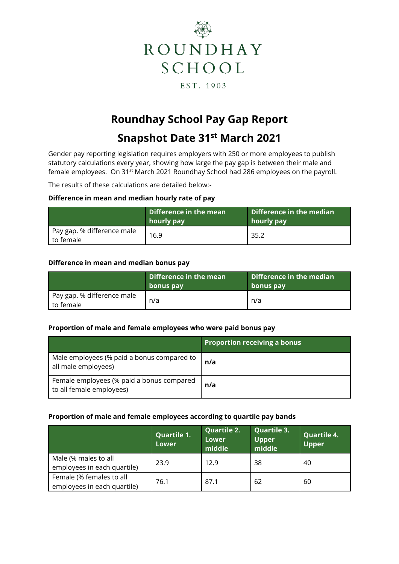

# **Roundhay School Pay Gap Report**

## **Snapshot Date 31st March 2021**

Gender pay reporting legislation requires employers with 250 or more employees to publish statutory calculations every year, showing how large the pay gap is between their male and female employees. On 31st March 2021 Roundhay School had 286 employees on the payroll.

The results of these calculations are detailed below:-

#### **Difference in mean and median hourly rate of pay**

|                                         | Difference in the mean<br>hourly pay | Difference in the median<br>hourly pay |
|-----------------------------------------|--------------------------------------|----------------------------------------|
| Pay gap. % difference male<br>to female | 16.9                                 | 35.2                                   |

#### **Difference in mean and median bonus pay**

|                                         | Difference in the mean<br>bonus pay | Difference in the median<br>bonus pay |
|-----------------------------------------|-------------------------------------|---------------------------------------|
| Pay gap. % difference male<br>to female | n/a                                 | n/a                                   |

#### **Proportion of male and female employees who were paid bonus pay**

|                                                                       | <b>Proportion receiving a bonus</b> |
|-----------------------------------------------------------------------|-------------------------------------|
| Male employees (% paid a bonus compared to<br>all male employees)     | n/a                                 |
| Female employees (% paid a bonus compared<br>to all female employees) | n/a                                 |

### **Proportion of male and female employees according to quartile pay bands**

|                                                         | <b>Quartile 1.</b><br><b>Lower</b> | <b>Quartile 2.</b><br><b>Lower</b><br>middle | <b>Quartile 3.</b><br><b>Upper</b><br>middle | <b>Quartile 4.</b><br><b>Upper</b> |
|---------------------------------------------------------|------------------------------------|----------------------------------------------|----------------------------------------------|------------------------------------|
| Male (% males to all<br>employees in each quartile)     | 23.9                               | 12.9                                         | 38                                           | 40                                 |
| Female (% females to all<br>employees in each quartile) | 76.1                               | 87.1                                         | 62                                           | 60                                 |